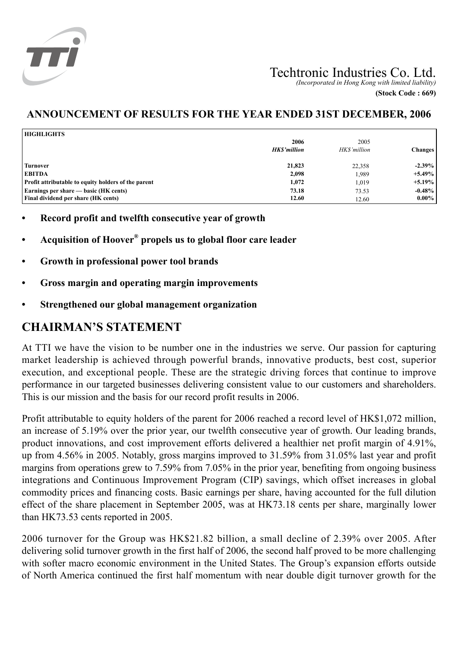

# Techtronic Industries Co. Ltd.

*(Incorporated in Hong Kong with limited liability)* **(Stock Code : 669)**

## **ANNOUNCEMENT OF RESULTS FOR THE YEAR ENDED 31ST DECEMBER, 2006**

| <b>HIGHLIGHTS</b>                                   |                            |                      |                |
|-----------------------------------------------------|----------------------------|----------------------|----------------|
|                                                     | 2006<br><b>HKS'million</b> | 2005<br>HK\$'million | <b>Changes</b> |
| <b>Turnover</b>                                     | 21,823                     | 22,358               | $-2.39\%$      |
| <b>EBITDA</b>                                       | 2,098                      | 1,989                | $+5.49\%$      |
| Profit attributable to equity holders of the parent | 1,072                      | 1,019                | $+5.19\%$      |
| Earnings per share — basic (HK cents)               | 73.18                      | 73.53                | $-0.48%$       |
| <b>Final dividend per share (HK cents)</b>          | 12.60                      | 12.60                | $0.00\%$       |

- **• Record profit and twelfth consecutive year of growth**
- **• Acquisition of Hoover® propels us to global floor care leader**
- **• Growth in professional power tool brands**
- **• Gross margin and operating margin improvements**
- **• Strengthened our global management organization**

## **CHAIRMAN'S STATEMENT**

At TTI we have the vision to be number one in the industries we serve. Our passion for capturing market leadership is achieved through powerful brands, innovative products, best cost, superior execution, and exceptional people. These are the strategic driving forces that continue to improve performance in our targeted businesses delivering consistent value to our customers and shareholders. This is our mission and the basis for our record profit results in 2006.

Profit attributable to equity holders of the parent for 2006 reached a record level of HK\$1,072 million, an increase of 5.19% over the prior year, our twelfth consecutive year of growth. Our leading brands, product innovations, and cost improvement efforts delivered a healthier net profit margin of 4.91%, up from 4.56% in 2005. Notably, gross margins improved to 31.59% from 31.05% last year and profit margins from operations grew to 7.59% from 7.05% in the prior year, benefiting from ongoing business integrations and Continuous Improvement Program (CIP) savings, which offset increases in global commodity prices and financing costs. Basic earnings per share, having accounted for the full dilution effect of the share placement in September 2005, was at HK73.18 cents per share, marginally lower than HK73.53 cents reported in 2005.

2006 turnover for the Group was HK\$21.82 billion, a small decline of 2.39% over 2005. After delivering solid turnover growth in the first half of 2006, the second half proved to be more challenging with softer macro economic environment in the United States. The Group's expansion efforts outside of North America continued the first half momentum with near double digit turnover growth for the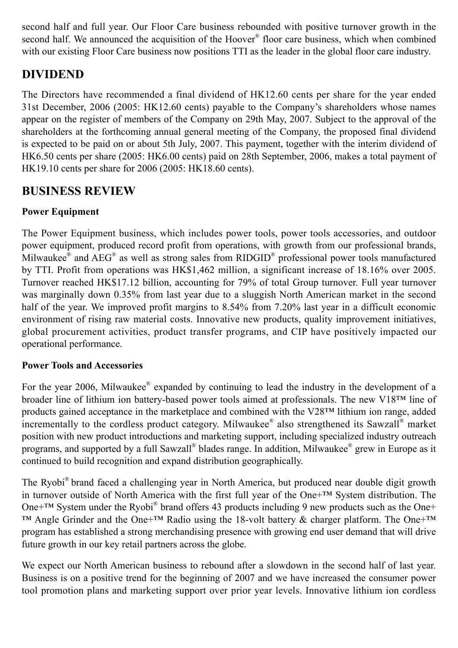second half and full year. Our Floor Care business rebounded with positive turnover growth in the second half. We announced the acquisition of the Hoover<sup>®</sup> floor care business, which when combined with our existing Floor Care business now positions TTI as the leader in the global floor care industry.

## **DIVIDEND**

The Directors have recommended a final dividend of HK12.60 cents per share for the year ended 31st December, 2006 (2005: HK12.60 cents) payable to the Company's shareholders whose names appear on the register of members of the Company on 29th May, 2007. Subject to the approval of the shareholders at the forthcoming annual general meeting of the Company, the proposed final dividend is expected to be paid on or about 5th July, 2007. This payment, together with the interim dividend of HK6.50 cents per share (2005: HK6.00 cents) paid on 28th September, 2006, makes a total payment of HK19.10 cents per share for 2006 (2005: HK18.60 cents).

## **BUSINESS REVIEW**

## **Power Equipment**

The Power Equipment business, which includes power tools, power tools accessories, and outdoor power equipment, produced record profit from operations, with growth from our professional brands, Milwaukee $^{\circledast}$  and AEG $^{\circledast}$  as well as strong sales from RIDGID $^{\circledast}$  professional power tools manufactured by TTI. Profit from operations was HK\$1,462 million, a significant increase of 18.16% over 2005. Turnover reached HK\$17.12 billion, accounting for 79% of total Group turnover. Full year turnover was marginally down 0.35% from last year due to a sluggish North American market in the second half of the year. We improved profit margins to 8.54% from 7.20% last year in a difficult economic environment of rising raw material costs. Innovative new products, quality improvement initiatives, global procurement activities, product transfer programs, and CIP have positively impacted our operational performance.

## **Power Tools and Accessories**

For the year 2006, Milwaukee<sup>®</sup> expanded by continuing to lead the industry in the development of a broader line of lithium ion battery-based power tools aimed at professionals. The new V18™ line of products gained acceptance in the marketplace and combined with the V28™ lithium ion range, added incrementally to the cordless product category. Milwaukee® also strengthened its Sawzall® market position with new product introductions and marketing support, including specialized industry outreach programs, and supported by a full Sawzall® blades range. In addition, Milwaukee® grew in Europe as it continued to build recognition and expand distribution geographically.

The Ryobi® brand faced a challenging year in North America, but produced near double digit growth in turnover outside of North America with the first full year of the One+™ System distribution. The One<sup>+™</sup> System under the Ryobi<sup>®</sup> brand offers 43 products including 9 new products such as the One+ ™ Angle Grinder and the One+™ Radio using the 18-volt battery & charger platform. The One+™ program has established a strong merchandising presence with growing end user demand that will drive future growth in our key retail partners across the globe.

We expect our North American business to rebound after a slowdown in the second half of last year. Business is on a positive trend for the beginning of 2007 and we have increased the consumer power tool promotion plans and marketing support over prior year levels. Innovative lithium ion cordless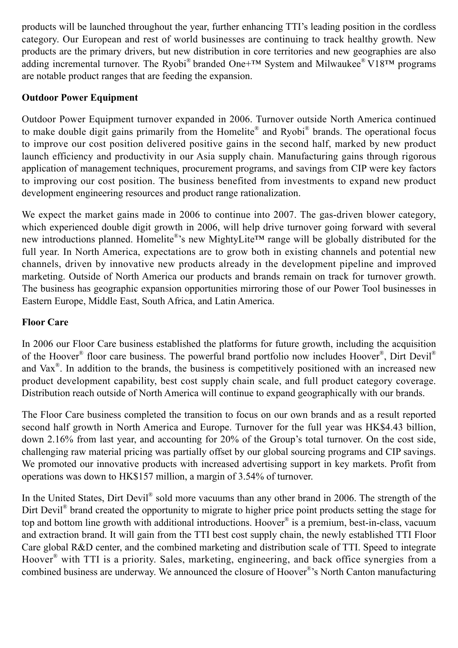products will be launched throughout the year, further enhancing TTI's leading position in the cordless category. Our European and rest of world businesses are continuing to track healthy growth. New products are the primary drivers, but new distribution in core territories and new geographies are also adding incremental turnover. The Ryobi<sup>®</sup> branded One+<sup>TM</sup> System and Milwaukee<sup>®</sup> V18<sup>TM</sup> programs are notable product ranges that are feeding the expansion.

## **Outdoor Power Equipment**

Outdoor Power Equipment turnover expanded in 2006. Turnover outside North America continued to make double digit gains primarily from the Homelite® and Ryobi® brands. The operational focus to improve our cost position delivered positive gains in the second half, marked by new product launch efficiency and productivity in our Asia supply chain. Manufacturing gains through rigorous application of management techniques, procurement programs, and savings from CIP were key factors to improving our cost position. The business benefited from investments to expand new product development engineering resources and product range rationalization.

We expect the market gains made in 2006 to continue into 2007. The gas-driven blower category, which experienced double digit growth in 2006, will help drive turnover going forward with several new introductions planned. Homelite®'s new MightyLite<sup>™</sup> range will be globally distributed for the full year. In North America, expectations are to grow both in existing channels and potential new channels, driven by innovative new products already in the development pipeline and improved marketing. Outside of North America our products and brands remain on track for turnover growth. The business has geographic expansion opportunities mirroring those of our Power Tool businesses in Eastern Europe, Middle East, South Africa, and Latin America.

### **Floor Care**

In 2006 our Floor Care business established the platforms for future growth, including the acquisition of the Hoover<sup>®</sup> floor care business. The powerful brand portfolio now includes Hoover<sup>®</sup>, Dirt Devil<sup>®</sup> and Vax<sup>®</sup>. In addition to the brands, the business is competitively positioned with an increased new product development capability, best cost supply chain scale, and full product category coverage. Distribution reach outside of North America will continue to expand geographically with our brands.

The Floor Care business completed the transition to focus on our own brands and as a result reported second half growth in North America and Europe. Turnover for the full year was HK\$4.43 billion, down 2.16% from last year, and accounting for 20% of the Group's total turnover. On the cost side, challenging raw material pricing was partially offset by our global sourcing programs and CIP savings. We promoted our innovative products with increased advertising support in key markets. Profit from operations was down to HK\$157 million, a margin of 3.54% of turnover.

In the United States, Dirt Devil<sup>®</sup> sold more vacuums than any other brand in 2006. The strength of the Dirt Devil<sup>®</sup> brand created the opportunity to migrate to higher price point products setting the stage for top and bottom line growth with additional introductions. Hoover<sup>®</sup> is a premium, best-in-class, vacuum and extraction brand. It will gain from the TTI best cost supply chain, the newly established TTI Floor Care global R&D center, and the combined marketing and distribution scale of TTI. Speed to integrate Hoover® with TTI is a priority. Sales, marketing, engineering, and back office synergies from a combined business are underway. We announced the closure of Hoover®'s North Canton manufacturing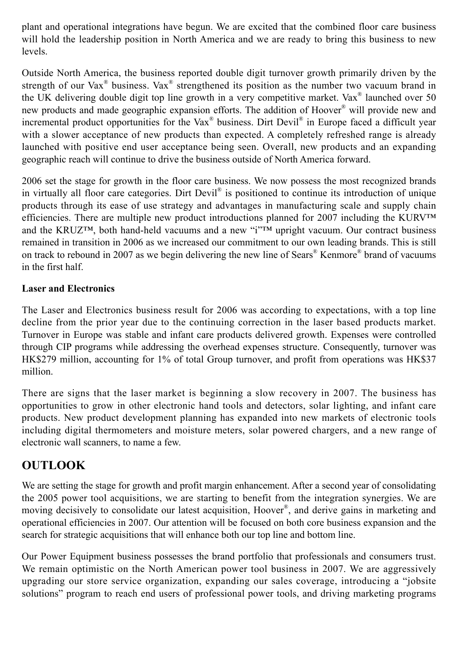plant and operational integrations have begun. We are excited that the combined floor care business will hold the leadership position in North America and we are ready to bring this business to new levels.

Outside North America, the business reported double digit turnover growth primarily driven by the strength of our Vax<sup>®</sup> business. Vax<sup>®</sup> strengthened its position as the number two vacuum brand in the UK delivering double digit top line growth in a very competitive market. Vax® launched over 50 new products and made geographic expansion efforts. The addition of Hoover® will provide new and incremental product opportunities for the Vax® business. Dirt Devil® in Europe faced a difficult year with a slower acceptance of new products than expected. A completely refreshed range is already launched with positive end user acceptance being seen. Overall, new products and an expanding geographic reach will continue to drive the business outside of North America forward.

2006 set the stage for growth in the floor care business. We now possess the most recognized brands in virtually all floor care categories. Dirt Devil® is positioned to continue its introduction of unique products through its ease of use strategy and advantages in manufacturing scale and supply chain efficiencies. There are multiple new product introductions planned for 2007 including the KURV™ and the KRUZ™, both hand-held vacuums and a new "i"™ upright vacuum. Our contract business remained in transition in 2006 as we increased our commitment to our own leading brands. This is still on track to rebound in 2007 as we begin delivering the new line of Sears® Kenmore® brand of vacuums in the first half.

## **Laser and Electronics**

The Laser and Electronics business result for 2006 was according to expectations, with a top line decline from the prior year due to the continuing correction in the laser based products market. Turnover in Europe was stable and infant care products delivered growth. Expenses were controlled through CIP programs while addressing the overhead expenses structure. Consequently, turnover was HK\$279 million, accounting for 1% of total Group turnover, and profit from operations was HK\$37 million.

There are signs that the laser market is beginning a slow recovery in 2007. The business has opportunities to grow in other electronic hand tools and detectors, solar lighting, and infant care products. New product development planning has expanded into new markets of electronic tools including digital thermometers and moisture meters, solar powered chargers, and a new range of electronic wall scanners, to name a few.

## **OUTLOOK**

We are setting the stage for growth and profit margin enhancement. After a second year of consolidating the 2005 power tool acquisitions, we are starting to benefit from the integration synergies. We are moving decisively to consolidate our latest acquisition, Hoover® , and derive gains in marketing and operational efficiencies in 2007. Our attention will be focused on both core business expansion and the search for strategic acquisitions that will enhance both our top line and bottom line.

Our Power Equipment business possesses the brand portfolio that professionals and consumers trust. We remain optimistic on the North American power tool business in 2007. We are aggressively upgrading our store service organization, expanding our sales coverage, introducing a "jobsite solutions" program to reach end users of professional power tools, and driving marketing programs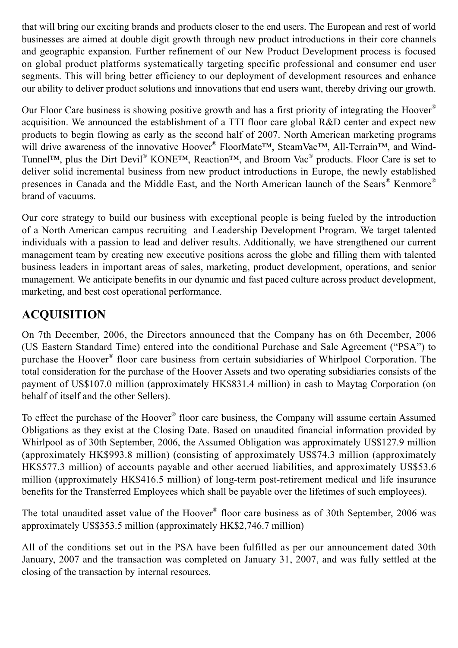that will bring our exciting brands and products closer to the end users. The European and rest of world businesses are aimed at double digit growth through new product introductions in their core channels and geographic expansion. Further refinement of our New Product Development process is focused on global product platforms systematically targeting specific professional and consumer end user segments. This will bring better efficiency to our deployment of development resources and enhance our ability to deliver product solutions and innovations that end users want, thereby driving our growth.

Our Floor Care business is showing positive growth and has a first priority of integrating the Hoover<sup>®</sup> acquisition. We announced the establishment of a TTI floor care global R&D center and expect new products to begin flowing as early as the second half of 2007. North American marketing programs will drive awareness of the innovative Hoover<sup>®</sup> FloorMate<sup>™,</sup> SteamVac<sup>™,</sup> All-Terrain<sup>™</sup>, and Wind-Tunnel™, plus the Dirt Devil® KONE™, Reaction™, and Broom Vac® products. Floor Care is set to deliver solid incremental business from new product introductions in Europe, the newly established presences in Canada and the Middle East, and the North American launch of the Sears® Kenmore® brand of vacuums.

Our core strategy to build our business with exceptional people is being fueled by the introduction of a North American campus recruiting and Leadership Development Program. We target talented individuals with a passion to lead and deliver results. Additionally, we have strengthened our current management team by creating new executive positions across the globe and filling them with talented business leaders in important areas of sales, marketing, product development, operations, and senior management. We anticipate benefits in our dynamic and fast paced culture across product development, marketing, and best cost operational performance.

# **ACQUISITION**

On 7th December, 2006, the Directors announced that the Company has on 6th December, 2006 (US Eastern Standard Time) entered into the conditional Purchase and Sale Agreement ("PSA") to purchase the Hoover® floor care business from certain subsidiaries of Whirlpool Corporation. The total consideration for the purchase of the Hoover Assets and two operating subsidiaries consists of the payment of US\$107.0 million (approximately HK\$831.4 million) in cash to Maytag Corporation (on behalf of itself and the other Sellers).

To effect the purchase of the Hoover® floor care business, the Company will assume certain Assumed Obligations as they exist at the Closing Date. Based on unaudited financial information provided by Whirlpool as of 30th September, 2006, the Assumed Obligation was approximately US\$127.9 million (approximately HK\$993.8 million) (consisting of approximately US\$74.3 million (approximately HK\$577.3 million) of accounts payable and other accrued liabilities, and approximately US\$53.6 million (approximately HK\$416.5 million) of long-term post-retirement medical and life insurance benefits for the Transferred Employees which shall be payable over the lifetimes of such employees).

The total unaudited asset value of the Hoover<sup>®</sup> floor care business as of 30th September, 2006 was approximately US\$353.5 million (approximately HK\$2,746.7 million)

All of the conditions set out in the PSA have been fulfilled as per our announcement dated 30th January, 2007 and the transaction was completed on January 31, 2007, and was fully settled at the closing of the transaction by internal resources.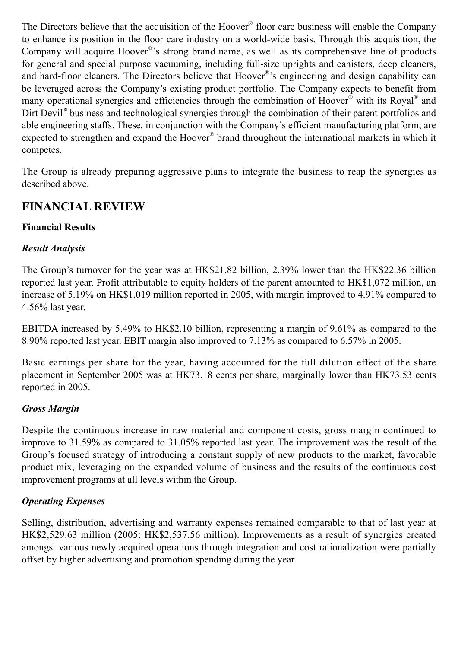The Directors believe that the acquisition of the Hoover® floor care business will enable the Company to enhance its position in the floor care industry on a world-wide basis. Through this acquisition, the Company will acquire Hoover<sup>®</sup>'s strong brand name, as well as its comprehensive line of products for general and special purpose vacuuming, including full-size uprights and canisters, deep cleaners, and hard-floor cleaners. The Directors believe that Hoover®'s engineering and design capability can be leveraged across the Company's existing product portfolio. The Company expects to benefit from many operational synergies and efficiencies through the combination of Hoover<sup>®</sup> with its Royal<sup>®</sup> and Dirt Devil<sup>®</sup> business and technological synergies through the combination of their patent portfolios and able engineering staffs. These, in conjunction with the Company's efficient manufacturing platform, are expected to strengthen and expand the Hoover® brand throughout the international markets in which it competes.

The Group is already preparing aggressive plans to integrate the business to reap the synergies as described above.

## **FINANCIAL REVIEW**

## **Financial Results**

### *Result Analysis*

The Group's turnover for the year was at HK\$21.82 billion, 2.39% lower than the HK\$22.36 billion reported last year. Profit attributable to equity holders of the parent amounted to HK\$1,072 million, an increase of 5.19% on HK\$1,019 million reported in 2005, with margin improved to 4.91% compared to 4.56% last year.

EBITDA increased by 5.49% to HK\$2.10 billion, representing a margin of 9.61% as compared to the 8.90% reported last year. EBIT margin also improved to 7.13% as compared to 6.57% in 2005.

Basic earnings per share for the year, having accounted for the full dilution effect of the share placement in September 2005 was at HK73.18 cents per share, marginally lower than HK73.53 cents reported in 2005.

### *Gross Margin*

Despite the continuous increase in raw material and component costs, gross margin continued to improve to 31.59% as compared to 31.05% reported last year. The improvement was the result of the Group's focused strategy of introducing a constant supply of new products to the market, favorable product mix, leveraging on the expanded volume of business and the results of the continuous cost improvement programs at all levels within the Group.

## *Operating Expenses*

Selling, distribution, advertising and warranty expenses remained comparable to that of last year at HK\$2,529.63 million (2005: HK\$2,537.56 million). Improvements as a result of synergies created amongst various newly acquired operations through integration and cost rationalization were partially offset by higher advertising and promotion spending during the year.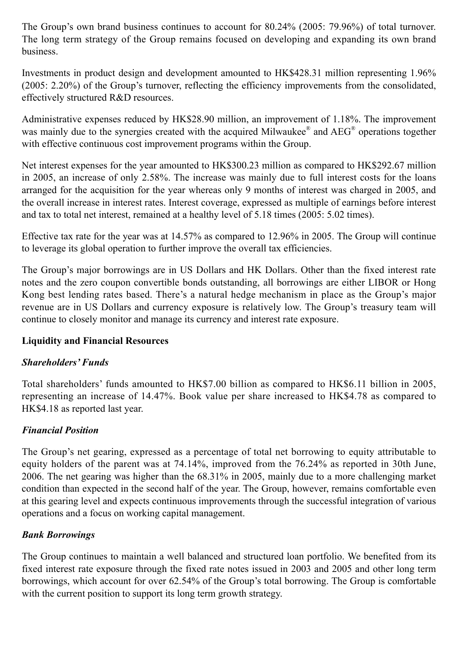The Group's own brand business continues to account for 80.24% (2005: 79.96%) of total turnover. The long term strategy of the Group remains focused on developing and expanding its own brand business.

Investments in product design and development amounted to HK\$428.31 million representing 1.96% (2005: 2.20%) of the Group's turnover, reflecting the efficiency improvements from the consolidated, effectively structured R&D resources.

Administrative expenses reduced by HK\$28.90 million, an improvement of 1.18%. The improvement was mainly due to the synergies created with the acquired Milwaukee® and AEG® operations together with effective continuous cost improvement programs within the Group.

Net interest expenses for the year amounted to HK\$300.23 million as compared to HK\$292.67 million in 2005, an increase of only 2.58%. The increase was mainly due to full interest costs for the loans arranged for the acquisition for the year whereas only 9 months of interest was charged in 2005, and the overall increase in interest rates. Interest coverage, expressed as multiple of earnings before interest and tax to total net interest, remained at a healthy level of 5.18 times (2005: 5.02 times).

Effective tax rate for the year was at 14.57% as compared to 12.96% in 2005. The Group will continue to leverage its global operation to further improve the overall tax efficiencies.

The Group's major borrowings are in US Dollars and HK Dollars. Other than the fixed interest rate notes and the zero coupon convertible bonds outstanding, all borrowings are either LIBOR or Hong Kong best lending rates based. There's a natural hedge mechanism in place as the Group's major revenue are in US Dollars and currency exposure is relatively low. The Group's treasury team will continue to closely monitor and manage its currency and interest rate exposure.

## **Liquidity and Financial Resources**

## *Shareholders' Funds*

Total shareholders' funds amounted to HK\$7.00 billion as compared to HK\$6.11 billion in 2005, representing an increase of 14.47%. Book value per share increased to HK\$4.78 as compared to HK\$4.18 as reported last year.

## *Financial Position*

The Group's net gearing, expressed as a percentage of total net borrowing to equity attributable to equity holders of the parent was at 74.14%, improved from the 76.24% as reported in 30th June, 2006. The net gearing was higher than the 68.31% in 2005, mainly due to a more challenging market condition than expected in the second half of the year. The Group, however, remains comfortable even at this gearing level and expects continuous improvements through the successful integration of various operations and a focus on working capital management.

## *Bank Borrowings*

The Group continues to maintain a well balanced and structured loan portfolio. We benefited from its fixed interest rate exposure through the fixed rate notes issued in 2003 and 2005 and other long term borrowings, which account for over 62.54% of the Group's total borrowing. The Group is comfortable with the current position to support its long term growth strategy.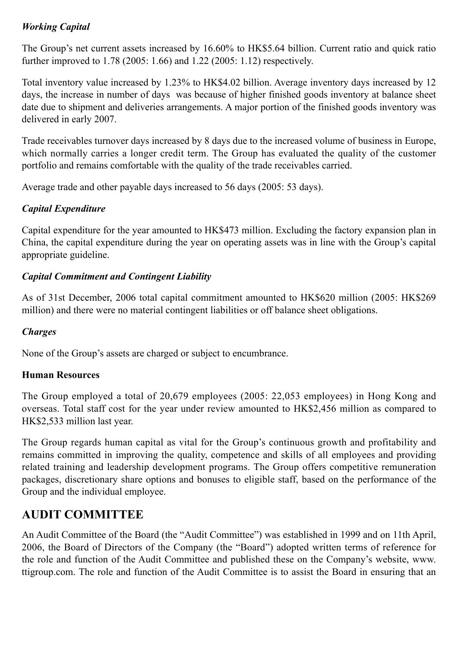## *Working Capital*

The Group's net current assets increased by 16.60% to HK\$5.64 billion. Current ratio and quick ratio further improved to 1.78 (2005: 1.66) and 1.22 (2005: 1.12) respectively.

Total inventory value increased by 1.23% to HK\$4.02 billion. Average inventory days increased by 12 days, the increase in number of days was because of higher finished goods inventory at balance sheet date due to shipment and deliveries arrangements. A major portion of the finished goods inventory was delivered in early 2007.

Trade receivables turnover days increased by 8 days due to the increased volume of business in Europe, which normally carries a longer credit term. The Group has evaluated the quality of the customer portfolio and remains comfortable with the quality of the trade receivables carried.

Average trade and other payable days increased to 56 days (2005: 53 days).

## *Capital Expenditure*

Capital expenditure for the year amounted to HK\$473 million. Excluding the factory expansion plan in China, the capital expenditure during the year on operating assets was in line with the Group's capital appropriate guideline.

## *Capital Commitment and Contingent Liability*

As of 31st December, 2006 total capital commitment amounted to HK\$620 million (2005: HK\$269 million) and there were no material contingent liabilities or off balance sheet obligations.

## *Charges*

None of the Group's assets are charged or subject to encumbrance.

### **Human Resources**

The Group employed a total of 20,679 employees (2005: 22,053 employees) in Hong Kong and overseas. Total staff cost for the year under review amounted to HK\$2,456 million as compared to HK\$2,533 million last year.

The Group regards human capital as vital for the Group's continuous growth and profitability and remains committed in improving the quality, competence and skills of all employees and providing related training and leadership development programs. The Group offers competitive remuneration packages, discretionary share options and bonuses to eligible staff, based on the performance of the Group and the individual employee.

## **AUDIT COMMITTEE**

An Audit Committee of the Board (the "Audit Committee") was established in 1999 and on 11th April, 2006, the Board of Directors of the Company (the "Board") adopted written terms of reference for the role and function of the Audit Committee and published these on the Company's website, www. ttigroup.com. The role and function of the Audit Committee is to assist the Board in ensuring that an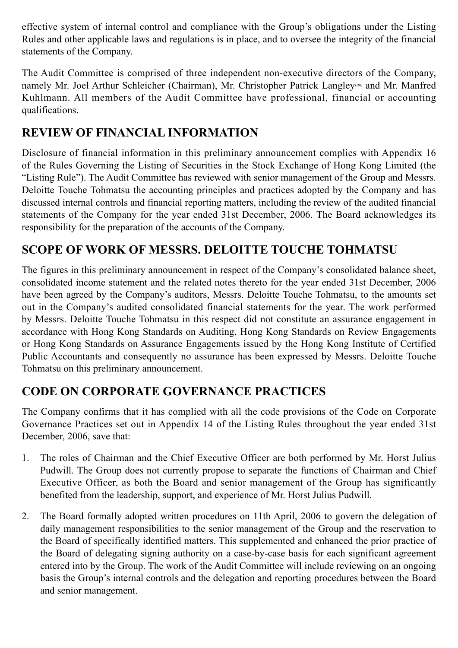effective system of internal control and compliance with the Group's obligations under the Listing Rules and other applicable laws and regulations is in place, and to oversee the integrity of the financial statements of the Company.

The Audit Committee is comprised of three independent non-executive directors of the Company, namely Mr. Joel Arthur Schleicher (Chairman), Mr. Christopher Patrick Langley<sup>OBE</sup> and Mr. Manfred Kuhlmann. All members of the Audit Committee have professional, financial or accounting qualifications.

# **REVIEW OF FINANCIAL INFORMATION**

Disclosure of financial information in this preliminary announcement complies with Appendix 16 of the Rules Governing the Listing of Securities in the Stock Exchange of Hong Kong Limited (the "Listing Rule"). The Audit Committee has reviewed with senior management of the Group and Messrs. Deloitte Touche Tohmatsu the accounting principles and practices adopted by the Company and has discussed internal controls and financial reporting matters, including the review of the audited financial statements of the Company for the year ended 31st December, 2006. The Board acknowledges its responsibility for the preparation of the accounts of the Company.

# **scope of work of messrs. Deloitte touche tohmatsu**

The figures in this preliminary announcement in respect of the Company's consolidated balance sheet, consolidated income statement and the related notes thereto for the year ended 31st December, 2006 have been agreed by the Company's auditors, Messrs. Deloitte Touche Tohmatsu, to the amounts set out in the Company's audited consolidated financial statements for the year. The work performed by Messrs. Deloitte Touche Tohmatsu in this respect did not constitute an assurance engagement in accordance with Hong Kong Standards on Auditing, Hong Kong Standards on Review Engagements or Hong Kong Standards on Assurance Engagements issued by the Hong Kong Institute of Certified Public Accountants and consequently no assurance has been expressed by Messrs. Deloitte Touche Tohmatsu on this preliminary announcement.

## **CODE ON CORPORATE GOVERNANCE PRACTICES**

The Company confirms that it has complied with all the code provisions of the Code on Corporate Governance Practices set out in Appendix 14 of the Listing Rules throughout the year ended 31st December, 2006, save that:

- 1. The roles of Chairman and the Chief Executive Officer are both performed by Mr. Horst Julius Pudwill. The Group does not currently propose to separate the functions of Chairman and Chief Executive Officer, as both the Board and senior management of the Group has significantly benefited from the leadership, support, and experience of Mr. Horst Julius Pudwill.
- 2. The Board formally adopted written procedures on 11th April, 2006 to govern the delegation of daily management responsibilities to the senior management of the Group and the reservation to the Board of specifically identified matters. This supplemented and enhanced the prior practice of the Board of delegating signing authority on a case-by-case basis for each significant agreement entered into by the Group. The work of the Audit Committee will include reviewing on an ongoing basis the Group's internal controls and the delegation and reporting procedures between the Board and senior management.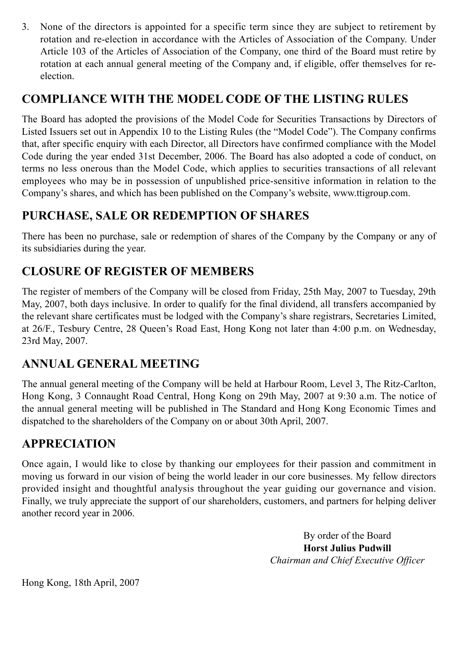3. None of the directors is appointed for a specific term since they are subject to retirement by rotation and re-election in accordance with the Articles of Association of the Company. Under Article 103 of the Articles of Association of the Company, one third of the Board must retire by rotation at each annual general meeting of the Company and, if eligible, offer themselves for reelection.

# **COMPLIANCE WITH THE MODEL CODE OF THE LISTING RULES**

The Board has adopted the provisions of the Model Code for Securities Transactions by Directors of Listed Issuers set out in Appendix 10 to the Listing Rules (the "Model Code"). The Company confirms that, after specific enquiry with each Director, all Directors have confirmed compliance with the Model Code during the year ended 31st December, 2006. The Board has also adopted a code of conduct, on terms no less onerous than the Model Code, which applies to securities transactions of all relevant employees who may be in possession of unpublished price-sensitive information in relation to the Company's shares, and which has been published on the Company's website, www.ttigroup.com.

# **PURCHASE, SALE OR REDEMPTION OF SHARES**

There has been no purchase, sale or redemption of shares of the Company by the Company or any of its subsidiaries during the year.

# **CLOSURE OF REGISTER OF MEMBERS**

The register of members of the Company will be closed from Friday, 25th May, 2007 to Tuesday, 29th May, 2007, both days inclusive. In order to qualify for the final dividend, all transfers accompanied by the relevant share certificates must be lodged with the Company's share registrars, Secretaries Limited, at 26/F., Tesbury Centre, 28 Queen's Road East, Hong Kong not later than 4:00 p.m. on Wednesday, 23rd May, 2007.

## **ANNUAL GENERAL MEETING**

The annual general meeting of the Company will be held at Harbour Room, Level 3, The Ritz-Carlton, Hong Kong, 3 Connaught Road Central, Hong Kong on 29th May, 2007 at 9:30 a.m. The notice of the annual general meeting will be published in The Standard and Hong Kong Economic Times and dispatched to the shareholders of the Company on or about 30th April, 2007.

## **APPRECIATION**

Once again, I would like to close by thanking our employees for their passion and commitment in moving us forward in our vision of being the world leader in our core businesses. My fellow directors provided insight and thoughtful analysis throughout the year guiding our governance and vision. Finally, we truly appreciate the support of our shareholders, customers, and partners for helping deliver another record year in 2006.

> By order of the Board **Horst Julius Pudwill** *Chairman and Chief Executive Officer*

Hong Kong, 18th April, 2007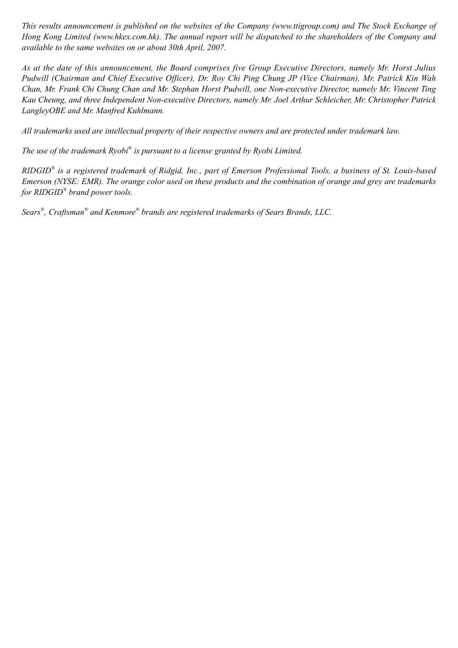*This results announcement is published on the websites of the Company (www.ttigroup.com) and The Stock Exchange of Hong Kong Limited (www.hkex.com.hk). The annual report will be dispatched to the shareholders of the Company and available to the same websites on or about 30th April, 2007.*

*As at the date of this announcement, the Board comprises five Group Executive Directors, namely Mr. Horst Julius Pudwill (Chairman and Chief Executive Officer), Dr. Roy Chi Ping Chung JP (Vice Chairman), Mr. Patrick Kin Wah Chan, Mr. Frank Chi Chung Chan and Mr. Stephan Horst Pudwill, one Non-executive Director, namely Mr. Vincent Ting Kau Cheung, and three Independent Non-executive Directors, namely Mr. Joel Arthur Schleicher, Mr. Christopher Patrick LangleyOBE and Mr. Manfred Kuhlmann.*

*All trademarks used are intellectual property of their respective owners and are protected under trademark law.* 

The use of the trademark Ryobi® is pursuant to a license granted by Ryobi Limited.

*RIDGID® is a registered trademark of Ridgid, Inc., part of Emerson Professional Tools, a business of St. Louis-based Emerson (NYSE: EMR). The orange color used on these products and the combination of orange and grey are trademarks for RIDGID® brand power tools.*

*Sears® , Craftsman® and Kenmore® brands are registered trademarks of Sears Brands, LLC.*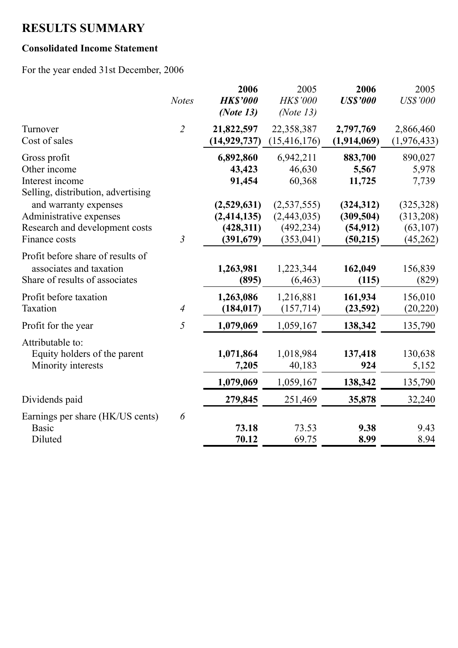# **RESULTS SUMMARY**

## **Consolidated Income Statement**

For the year ended 31st December, 2006

|                                                                                                     | <b>Notes</b>   | 2006<br><b>HK\$'000</b><br>(Note $13$ )                 | 2005<br>HK\$'000<br>(Note $13$ )                       | 2006<br><b>US\$'000</b>                           | 2005<br><b>US\$'000</b>                          |
|-----------------------------------------------------------------------------------------------------|----------------|---------------------------------------------------------|--------------------------------------------------------|---------------------------------------------------|--------------------------------------------------|
| Turnover<br>Cost of sales                                                                           | $\overline{2}$ | 21,822,597<br>(14, 929, 737)                            | 22,358,387<br>(15, 416, 176)                           | 2,797,769<br>(1,914,069)                          | 2,866,460<br>(1,976,433)                         |
| Gross profit<br>Other income<br>Interest income<br>Selling, distribution, advertising               |                | 6,892,860<br>43,423<br>91,454                           | 6,942,211<br>46,630<br>60,368                          | 883,700<br>5,567<br>11,725                        | 890,027<br>5,978<br>7,739                        |
| and warranty expenses<br>Administrative expenses<br>Research and development costs<br>Finance costs | $\mathfrak{Z}$ | (2,529,631)<br>(2, 414, 135)<br>(428,311)<br>(391, 679) | (2,537,555)<br>(2,443,035)<br>(492, 234)<br>(353, 041) | (324, 312)<br>(309, 504)<br>(54, 912)<br>(50,215) | (325, 328)<br>(313,208)<br>(63, 107)<br>(45,262) |
| Profit before share of results of<br>associates and taxation<br>Share of results of associates      |                | 1,263,981<br>(895)                                      | 1,223,344<br>(6, 463)                                  | 162,049<br>(115)                                  | 156,839<br>(829)                                 |
| Profit before taxation<br>Taxation                                                                  | $\overline{4}$ | 1,263,086<br>(184, 017)                                 | 1,216,881<br>(157, 714)                                | 161,934<br>(23,592)                               | 156,010<br>(20, 220)                             |
| Profit for the year                                                                                 | 5              | 1,079,069                                               | 1,059,167                                              | 138,342                                           | 135,790                                          |
| Attributable to:<br>Equity holders of the parent<br>Minority interests                              |                | 1,071,864<br>7,205                                      | 1,018,984<br>40,183                                    | 137,418<br>924                                    | 130,638<br>5,152                                 |
|                                                                                                     |                | 1,079,069                                               | 1,059,167                                              | 138,342                                           | 135,790                                          |
| Dividends paid                                                                                      |                | 279,845                                                 | 251,469                                                | 35,878                                            | 32,240                                           |
| Earnings per share (HK/US cents)<br><b>Basic</b><br>Diluted                                         | 6              | 73.18<br>70.12                                          | 73.53<br>69.75                                         | 9.38<br>8.99                                      | 9.43<br>8.94                                     |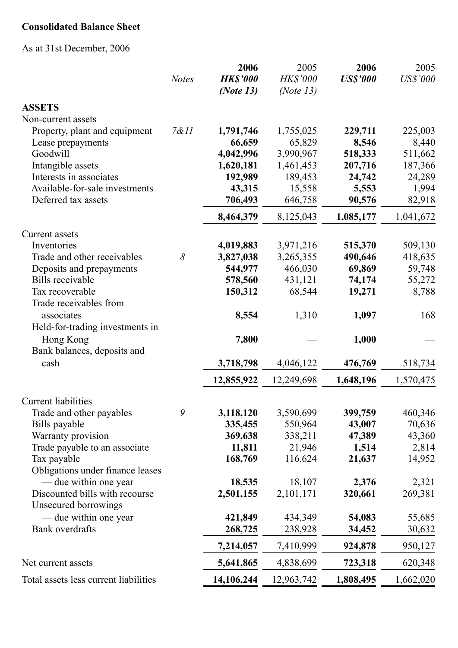## **Consolidated Balance Sheet**

As at 31st December, 2006

|                                       |              | 2006            | 2005         | 2006            | 2005            |
|---------------------------------------|--------------|-----------------|--------------|-----------------|-----------------|
|                                       | <b>Notes</b> | <b>HK\$'000</b> | HK\$'000     | <b>US\$'000</b> | <b>US\$'000</b> |
|                                       |              | (Note 13)       | (Note $13$ ) |                 |                 |
| <b>ASSETS</b>                         |              |                 |              |                 |                 |
| Non-current assets                    |              |                 |              |                 |                 |
| Property, plant and equipment         | 7&11         | 1,791,746       | 1,755,025    | 229,711         | 225,003         |
| Lease prepayments                     |              | 66,659          | 65,829       | 8,546           | 8,440           |
| Goodwill                              |              | 4,042,996       | 3,990,967    | 518,333         | 511,662         |
| Intangible assets                     |              | 1,620,181       | 1,461,453    | 207,716         | 187,366         |
| Interests in associates               |              | 192,989         | 189,453      | 24,742          | 24,289          |
| Available-for-sale investments        |              | 43,315          | 15,558       | 5,553           | 1,994           |
| Deferred tax assets                   |              | 706,493         | 646,758      | 90,576          | 82,918          |
|                                       |              | 8,464,379       | 8,125,043    | 1,085,177       | 1,041,672       |
| <b>Current assets</b>                 |              |                 |              |                 |                 |
| Inventories                           |              | 4,019,883       | 3,971,216    | 515,370         | 509,130         |
| Trade and other receivables           | 8            | 3,827,038       | 3,265,355    | 490,646         | 418,635         |
| Deposits and prepayments              |              | 544,977         | 466,030      | 69,869          | 59,748          |
| <b>Bills</b> receivable               |              | 578,560         | 431,121      | 74,174          | 55,272          |
| Tax recoverable                       |              | 150,312         | 68,544       | 19,271          | 8,788           |
| Trade receivables from                |              |                 |              |                 |                 |
| associates                            |              | 8,554           | 1,310        | 1,097           | 168             |
| Held-for-trading investments in       |              |                 |              |                 |                 |
| Hong Kong                             |              | 7,800           |              | 1,000           |                 |
| Bank balances, deposits and           |              |                 |              |                 |                 |
| cash                                  |              | 3,718,798       | 4,046,122    | 476,769         | 518,734         |
|                                       |              | 12,855,922      | 12,249,698   | 1,648,196       | 1,570,475       |
|                                       |              |                 |              |                 |                 |
| <b>Current liabilities</b>            |              |                 |              |                 |                 |
| Trade and other payables              | 9            | 3,118,120       | 3,590,699    | 399,759         | 460,346         |
| Bills payable                         |              | 335,455         | 550,964      | 43,007          | 70,636          |
| Warranty provision                    |              | 369,638         | 338,211      | 47,389          | 43,360          |
| Trade payable to an associate         |              | 11,811          | 21,946       | 1,514           | 2,814           |
| Tax payable                           |              | 168,769         | 116,624      | 21,637          | 14,952          |
| Obligations under finance leases      |              |                 |              |                 |                 |
| — due within one year                 |              | 18,535          | 18,107       | 2,376           | 2,321           |
| Discounted bills with recourse        |              | 2,501,155       | 2,101,171    | 320,661         | 269,381         |
| Unsecured borrowings                  |              |                 |              |                 |                 |
| — due within one year                 |              | 421,849         | 434,349      | 54,083          | 55,685          |
| <b>Bank</b> overdrafts                |              | 268,725         | 238,928      | 34,452          | 30,632          |
|                                       |              | 7,214,057       | 7,410,999    | 924,878         | 950,127         |
| Net current assets                    |              | 5,641,865       | 4,838,699    | 723,318         | 620,348         |
| Total assets less current liabilities |              | 14,106,244      | 12,963,742   | 1,808,495       | 1,662,020       |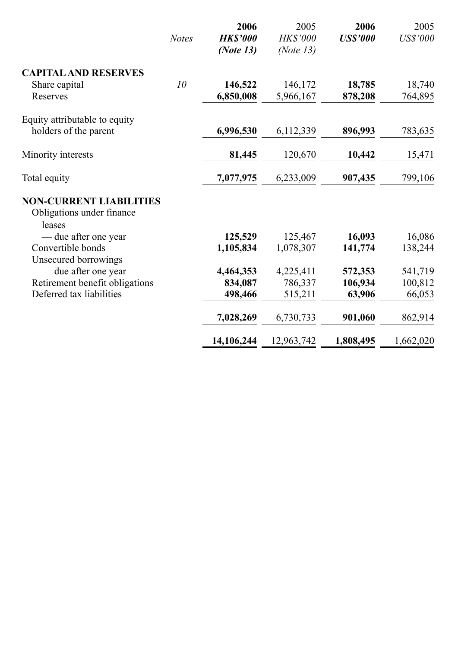|                                                                       |              | 2006            | 2005         | 2006            | 2005            |
|-----------------------------------------------------------------------|--------------|-----------------|--------------|-----------------|-----------------|
|                                                                       | <b>Notes</b> | <b>HK\$'000</b> | HK\$'000     | <b>US\$'000</b> | <b>US\$'000</b> |
|                                                                       |              | (Note $13$ )    | (Note $13$ ) |                 |                 |
| <b>CAPITAL AND RESERVES</b>                                           |              |                 |              |                 |                 |
| Share capital                                                         | 10           | 146,522         | 146,172      | 18,785          | 18,740          |
| Reserves                                                              |              | 6,850,008       | 5,966,167    | 878,208         | 764,895         |
| Equity attributable to equity                                         |              |                 |              |                 |                 |
| holders of the parent                                                 |              | 6,996,530       | 6,112,339    | 896,993         | 783,635         |
| Minority interests                                                    |              | 81,445          | 120,670      | 10,442          | 15,471          |
| Total equity                                                          |              | 7,077,975       | 6,233,009    | 907,435         | 799,106         |
| <b>NON-CURRENT LIABILITIES</b><br>Obligations under finance<br>leases |              |                 |              |                 |                 |
| — due after one year                                                  |              | 125,529         | 125,467      | 16,093          | 16,086          |
| Convertible bonds                                                     |              | 1,105,834       | 1,078,307    | 141,774         | 138,244         |
| Unsecured borrowings                                                  |              |                 |              |                 |                 |
| — due after one year                                                  |              | 4,464,353       | 4,225,411    | 572,353         | 541,719         |
| Retirement benefit obligations                                        |              | 834,087         | 786,337      | 106,934         | 100,812         |
| Deferred tax liabilities                                              |              | 498,466         | 515,211      | 63,906          | 66,053          |
|                                                                       |              | 7,028,269       | 6,730,733    | 901,060         | 862,914         |
|                                                                       |              | 14,106,244      | 12,963,742   | 1,808,495       | 1,662,020       |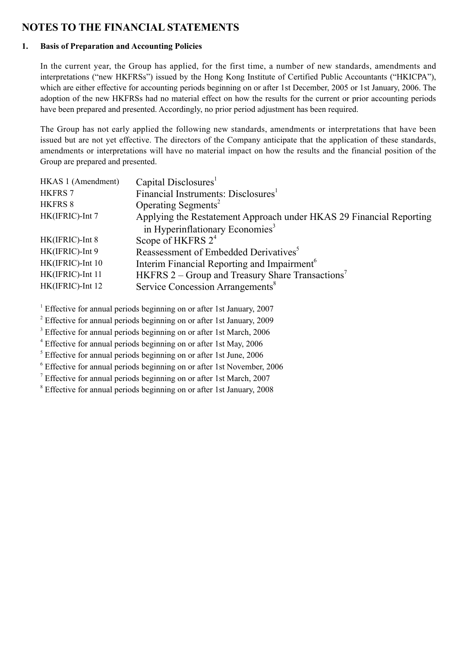## **NOTES TO THE FINANCIAL STATEMENTS**

#### **1. Basis of Preparation and Accounting Policies**

In the current year, the Group has applied, for the first time, a number of new standards, amendments and interpretations ("new HKFRSs") issued by the Hong Kong Institute of Certified Public Accountants ("HKICPA"), which are either effective for accounting periods beginning on or after 1st December, 2005 or 1st January, 2006. The adoption of the new HKFRSs had no material effect on how the results for the current or prior accounting periods have been prepared and presented. Accordingly, no prior period adjustment has been required.

The Group has not early applied the following new standards, amendments or interpretations that have been issued but are not yet effective. The directors of the Company anticipate that the application of these standards, amendments or interpretations will have no material impact on how the results and the financial position of the Group are prepared and presented.

| HKAS 1 (Amendment) | Capital Disclosures <sup>1</sup>                                    |
|--------------------|---------------------------------------------------------------------|
| <b>HKFRS 7</b>     | Financial Instruments: Disclosures <sup>1</sup>                     |
| <b>HKFRS 8</b>     | Operating Segments <sup>2</sup>                                     |
| HK(IFRIC)-Int 7    | Applying the Restatement Approach under HKAS 29 Financial Reporting |
|                    | in Hyperinflationary Economies <sup>3</sup>                         |
| HK(IFRIC)-Int 8    | Scope of HKFRS $2^4$                                                |
| HK(IFRIC)-Int 9    | Reassessment of Embedded Derivatives <sup>5</sup>                   |
| HK(IFRIC)-Int 10   | Interim Financial Reporting and Impairment <sup>6</sup>             |
| HK(IFRIC)-Int 11   | HKFRS $2$ – Group and Treasury Share Transactions <sup>7</sup>      |
| HK(IFRIC)-Int 12   | Service Concession Arrangements <sup>8</sup>                        |
|                    |                                                                     |

<sup>1</sup> Effective for annual periods beginning on or after 1st January, 2007

 $2^2$  Effective for annual periods beginning on or after 1st January, 2009

<sup>3</sup> Effective for annual periods beginning on or after 1st March, 2006

<sup>4</sup> Effective for annual periods beginning on or after 1st May, 2006

<sup>5</sup> Effective for annual periods beginning on or after 1st June, 2006

<sup>6</sup> Effective for annual periods beginning on or after 1st November, 2006

 $<sup>7</sup>$  Effective for annual periods beginning on or after 1st March, 2007</sup>

<sup>8</sup> Effective for annual periods beginning on or after 1st January, 2008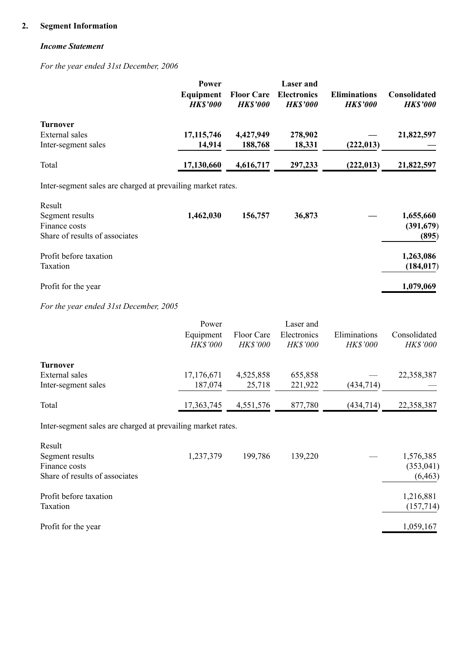### **2. Segment Information**

#### *Income Statement*

*For the year ended 31st December, 2006*

|                                                             | Power                        |                                      | <b>Laser</b> and                      |                                        |                                 |
|-------------------------------------------------------------|------------------------------|--------------------------------------|---------------------------------------|----------------------------------------|---------------------------------|
|                                                             | Equipment<br><b>HK\$'000</b> | <b>Floor Care</b><br><b>HK\$'000</b> | <b>Electronics</b><br><b>HK\$'000</b> | <b>Eliminations</b><br><b>HK\$'000</b> | Consolidated<br><b>HK\$'000</b> |
| Turnover                                                    |                              |                                      |                                       |                                        |                                 |
| External sales                                              | 17, 115, 746                 | 4,427,949                            | 278,902                               |                                        | 21,822,597                      |
| Inter-segment sales                                         | 14,914                       | 188,768                              | 18,331                                | (222, 013)                             |                                 |
| Total                                                       | 17,130,660                   | 4,616,717                            | 297,233                               | (222, 013)                             | 21,822,597                      |
| Inter-segment sales are charged at prevailing market rates. |                              |                                      |                                       |                                        |                                 |
| Result                                                      |                              |                                      |                                       |                                        |                                 |
| Segment results                                             | 1,462,030                    | 156,757                              | 36,873                                |                                        | 1,655,660                       |
| Finance costs                                               |                              |                                      |                                       |                                        | (391, 679)                      |
| Share of results of associates                              |                              |                                      |                                       |                                        | (895)                           |
| Profit before taxation                                      |                              |                                      |                                       |                                        | 1,263,086                       |
| Taxation                                                    |                              |                                      |                                       |                                        | (184, 017)                      |
| Profit for the year                                         |                              |                                      |                                       |                                        | 1,079,069                       |

#### *For the year ended 31st December, 2005*

|                     | Power<br>Equipment<br><b>HK\$'000</b> | Floor Care<br><b>HK\$'000</b> | Laser and<br>Electronics<br><b>HK\$'000</b> | Eliminations<br><b>HK\$'000</b> | Consolidated<br><b>HK\$'000</b> |
|---------------------|---------------------------------------|-------------------------------|---------------------------------------------|---------------------------------|---------------------------------|
| Turnover            |                                       |                               |                                             |                                 |                                 |
| External sales      | 17,176,671                            | 4,525,858                     | 655,858                                     |                                 | 22,358,387                      |
| Inter-segment sales | 187,074                               | 25,718                        | 221,922                                     | (434, 714)                      |                                 |
| Total               | 17,363,745                            | 4,551,576                     | 877,780                                     | (434, 714)                      | 22,358,387                      |

Inter-segment sales are charged at prevailing market rates.

| Result<br>Segment results<br>Finance costs<br>Share of results of associates | 1,237,379 | 199,786 | 139,220 | 1,576,385<br>(353, 041)<br>(6, 463) |
|------------------------------------------------------------------------------|-----------|---------|---------|-------------------------------------|
| Profit before taxation<br>Taxation                                           |           |         |         | 1,216,881<br>(157,714)              |
| Profit for the year                                                          |           |         |         | 1,059,167                           |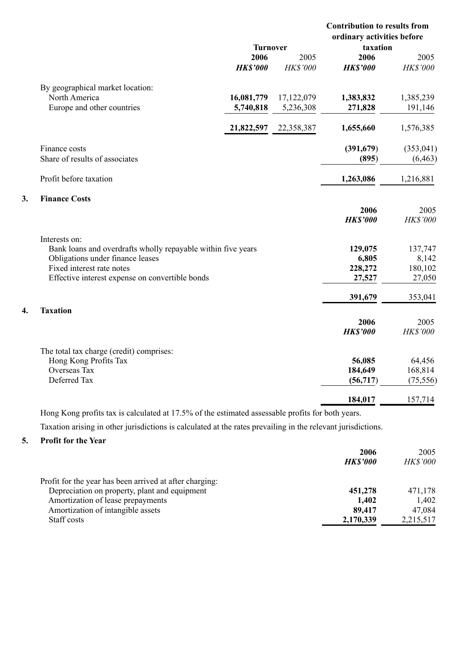|                                                               |                 |            | <b>Contribution to results from</b><br>ordinary activities before |                   |
|---------------------------------------------------------------|-----------------|------------|-------------------------------------------------------------------|-------------------|
|                                                               | <b>Turnover</b> |            | taxation                                                          |                   |
|                                                               | 2006            | 2005       | 2006                                                              | 2005              |
|                                                               | <b>HK\$'000</b> | HK\$'000   | <b>HK\$'000</b>                                                   | HK\$'000          |
| By geographical market location:                              |                 |            |                                                                   |                   |
| North America                                                 | 16,081,779      | 17,122,079 | 1,383,832                                                         | 1,385,239         |
| Europe and other countries                                    | 5,740,818       | 5,236,308  | 271,828                                                           | 191,146           |
|                                                               | 21,822,597      | 22,358,387 | 1,655,660                                                         | 1,576,385         |
| Finance costs                                                 |                 |            | (391,679)                                                         | (353, 041)        |
| Share of results of associates                                |                 |            | (895)                                                             | (6, 463)          |
| Profit before taxation                                        |                 |            | 1,263,086                                                         | 1,216,881         |
| <b>Finance Costs</b>                                          |                 |            |                                                                   |                   |
|                                                               |                 |            | 2006                                                              | 2005              |
|                                                               |                 |            | <b>HK\$'000</b>                                                   | HK\$'000          |
| Interests on:                                                 |                 |            |                                                                   |                   |
| Bank loans and overdrafts wholly repayable within five years  |                 |            | 129,075                                                           | 137,747           |
| Obligations under finance leases<br>Fixed interest rate notes |                 |            | 6,805                                                             | 8,142             |
| Effective interest expense on convertible bonds               |                 |            | 228,272<br>27,527                                                 | 180,102<br>27,050 |
|                                                               |                 |            |                                                                   |                   |
|                                                               |                 |            | 391,679                                                           | 353,041           |
| <b>Taxation</b>                                               |                 |            |                                                                   |                   |
|                                                               |                 |            | 2006                                                              | 2005              |
|                                                               |                 |            | <b>HK\$'000</b>                                                   | HK\$'000          |
| The total tax charge (credit) comprises:                      |                 |            |                                                                   |                   |
| Hong Kong Profits Tax                                         |                 |            | 56,085                                                            | 64,456            |
| Overseas Tax                                                  |                 |            | 184,649                                                           | 168,814           |
| Deferred Tax                                                  |                 |            | (56, 717)                                                         | (75, 556)         |
|                                                               |                 |            | 184,017                                                           | 157,714           |

Hong Kong profits tax is calculated at 17.5% of the estimated assessable profits for both years.

Taxation arising in other jurisdictions is calculated at the rates prevailing in the relevant jurisdictions.

### **5. Profit for the Year**

**3. Finance Costs**

**4. Taxation**

|                                                          | 2006  | 2005            |
|----------------------------------------------------------|-------|-----------------|
| <b>HK\$'000</b>                                          |       | <b>HK\$'000</b> |
| Profit for the year has been arrived at after charging:  |       |                 |
| Depreciation on property, plant and equipment<br>451,278 |       | 471,178         |
| Amortization of lease prepayments                        | 1,402 | 1,402           |
| Amortization of intangible assets<br>89,417              |       | 47,084          |
| Staff costs<br>2,170,339                                 |       | 2,215,517       |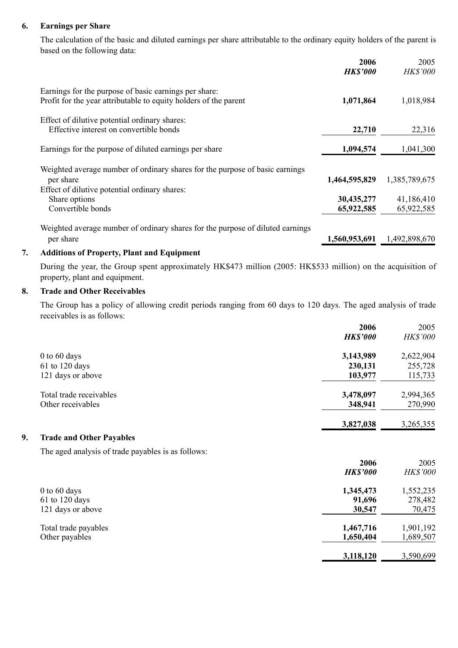#### **6. Earnings per Share**

The calculation of the basic and diluted earnings per share attributable to the ordinary equity holders of the parent is based on the following data:

|                                                                                                                                                             | 2006<br><b>HK\$'000</b>     | 2005<br>HK\$'000            |
|-------------------------------------------------------------------------------------------------------------------------------------------------------------|-----------------------------|-----------------------------|
| Earnings for the purpose of basic earnings per share:<br>Profit for the year attributable to equity holders of the parent                                   | 1,071,864                   | 1,018,984                   |
| Effect of dilutive potential ordinary shares:<br>Effective interest on convertible bonds                                                                    | 22,710                      | 22,316                      |
| Earnings for the purpose of diluted earnings per share                                                                                                      | 1,094,574                   | 1,041,300                   |
| Weighted average number of ordinary shares for the purpose of basic earnings<br>per share<br>Effect of dilutive potential ordinary shares:<br>Share options | 1,464,595,829<br>30,435,277 | 1,385,789,675<br>41,186,410 |
| Convertible bonds                                                                                                                                           | 65,922,585                  | 65,922,585                  |
| Weighted average number of ordinary shares for the purpose of diluted earnings<br>per share                                                                 | 1,560,953,691               | 1,492,898,670               |

#### **7. Additions of Property, Plant and Equipment**

During the year, the Group spent approximately HK\$473 million (2005: HK\$533 million) on the acquisition of property, plant and equipment.

#### **8. Trade and Other Receivables**

The Group has a policy of allowing credit periods ranging from 60 days to 120 days. The aged analysis of trade receivables is as follows:

|    |                                                    | 2006            | 2005            |
|----|----------------------------------------------------|-----------------|-----------------|
|    |                                                    | <b>HK\$'000</b> | <b>HK\$'000</b> |
|    | $0$ to $60$ days                                   | 3,143,989       | 2,622,904       |
|    | 61 to 120 days                                     | 230,131         | 255,728         |
|    | 121 days or above                                  | 103,977         | 115,733         |
|    | Total trade receivables                            | 3,478,097       | 2,994,365       |
|    | Other receivables                                  | 348,941         | 270,990         |
|    |                                                    | 3,827,038       | 3,265,355       |
| 9. | <b>Trade and Other Payables</b>                    |                 |                 |
|    | The aged analysis of trade payables is as follows: |                 |                 |
|    |                                                    | 2006            | 2005            |
|    |                                                    | <b>HK\$'000</b> | <b>HK\$'000</b> |
|    | $0$ to $60$ days                                   | 1,345,473       | 1,552,235       |
|    | $61$ to 120 days                                   | 91,696          | 278,482         |
|    | 121 days or above                                  | 30,547          | 70,475          |
|    | Total trade payables                               | 1,467,716       | 1,901,192       |
|    | Other payables                                     | 1,650,404       | 1,689,507       |
|    |                                                    | 3,118,120       | 3,590,699       |